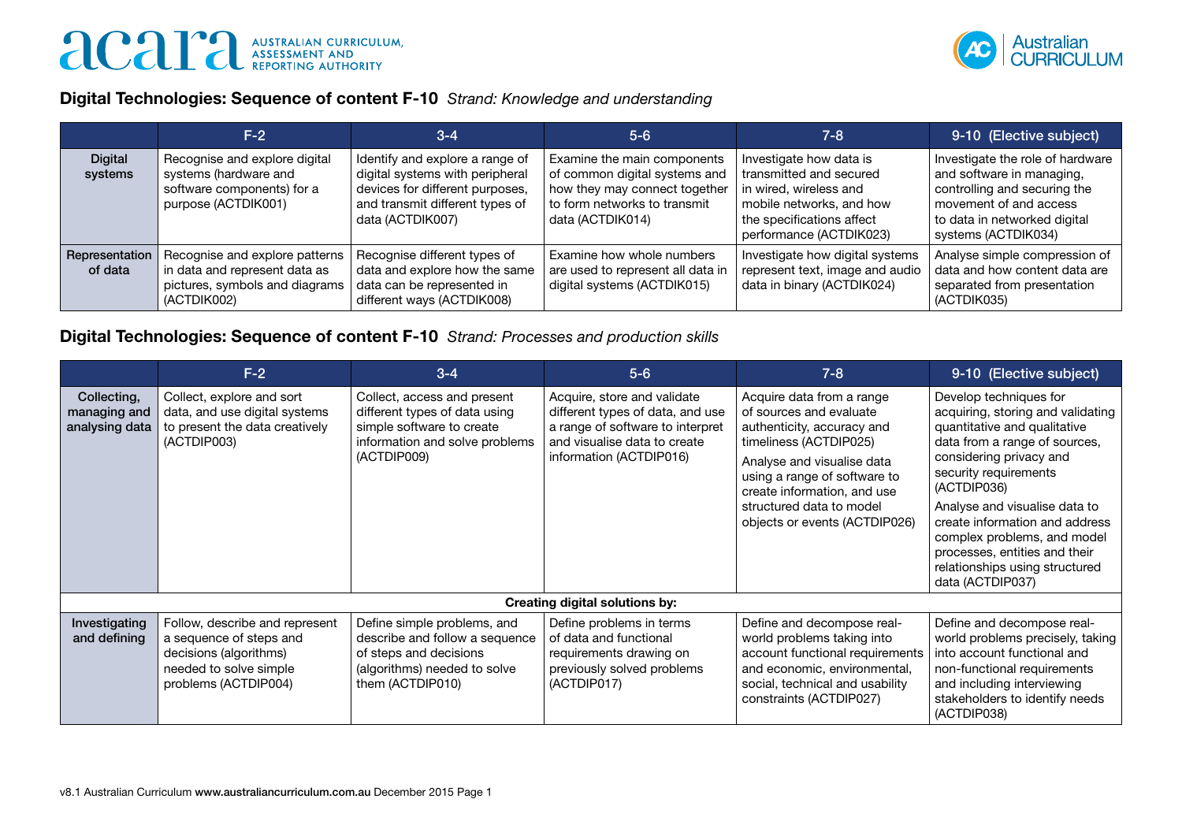

## Digital Technologies: Sequence of content F-10 *Strand: Knowledge and understanding*

|                           | $F-2$                                                                                                            | $3 - 4$                                                                                                                                                      | $5 - 6$                                                                                                                                           | 7-8                                                                                                                                                              | 9-10 (Elective subject)                                                                                                                                                        |
|---------------------------|------------------------------------------------------------------------------------------------------------------|--------------------------------------------------------------------------------------------------------------------------------------------------------------|---------------------------------------------------------------------------------------------------------------------------------------------------|------------------------------------------------------------------------------------------------------------------------------------------------------------------|--------------------------------------------------------------------------------------------------------------------------------------------------------------------------------|
| <b>Digital</b><br>systems | Recognise and explore digital<br>systems (hardware and<br>software components) for a<br>purpose (ACTDIK001)      | Identify and explore a range of<br>digital systems with peripheral<br>devices for different purposes,<br>and transmit different types of<br>data (ACTDIK007) | Examine the main components<br>of common digital systems and<br>how they may connect together<br>to form networks to transmit<br>data (ACTDIK014) | Investigate how data is<br>transmitted and secured<br>in wired, wireless and<br>mobile networks, and how<br>the specifications affect<br>performance (ACTDIK023) | Investigate the role of hardware<br>and software in managing,<br>controlling and securing the<br>movement of and access<br>to data in networked digital<br>systems (ACTDIK034) |
| Representation<br>of data | Recognise and explore patterns<br>in data and represent data as<br>pictures, symbols and diagrams<br>(ACTDIK002) | Recognise different types of<br>data and explore how the same<br>data can be represented in<br>different ways (ACTDIK008)                                    | Examine how whole numbers<br>are used to represent all data in<br>digital systems (ACTDIK015)                                                     | Investigate how digital systems<br>represent text, image and audio<br>data in binary (ACTDIK024)                                                                 | Analyse simple compression of<br>data and how content data are<br>separated from presentation<br>(ACTDIK035)                                                                   |

## Digital Technologies: Sequence of content F-10 *Strand: Processes and production skills*

|                                               | $F-2$                                                                                                                                 | $3 - 4$                                                                                                                                     | $5 - 6$                                                                                                                                                        | $7 - 8$                                                                                                                                                                                                                                                                | 9-10 (Elective subject)                                                                                                                                                                                                                                                                                                                                                                  |  |  |
|-----------------------------------------------|---------------------------------------------------------------------------------------------------------------------------------------|---------------------------------------------------------------------------------------------------------------------------------------------|----------------------------------------------------------------------------------------------------------------------------------------------------------------|------------------------------------------------------------------------------------------------------------------------------------------------------------------------------------------------------------------------------------------------------------------------|------------------------------------------------------------------------------------------------------------------------------------------------------------------------------------------------------------------------------------------------------------------------------------------------------------------------------------------------------------------------------------------|--|--|
| Collecting,<br>managing and<br>analysing data | Collect, explore and sort<br>data, and use digital systems<br>to present the data creatively<br>(ACTDIP003)                           | Collect, access and present<br>different types of data using<br>simple software to create<br>information and solve problems<br>(ACTDIP009)  | Acquire, store and validate<br>different types of data, and use<br>a range of software to interpret<br>and visualise data to create<br>information (ACTDIP016) | Acquire data from a range<br>of sources and evaluate<br>authenticity, accuracy and<br>timeliness (ACTDIP025)<br>Analyse and visualise data<br>using a range of software to<br>create information, and use<br>structured data to model<br>objects or events (ACTDIP026) | Develop techniques for<br>acquiring, storing and validating<br>quantitative and qualitative<br>data from a range of sources,<br>considering privacy and<br>security requirements<br>(ACTDIP036)<br>Analyse and visualise data to<br>create information and address<br>complex problems, and model<br>processes, entities and their<br>relationships using structured<br>data (ACTDIP037) |  |  |
| <b>Creating digital solutions by:</b>         |                                                                                                                                       |                                                                                                                                             |                                                                                                                                                                |                                                                                                                                                                                                                                                                        |                                                                                                                                                                                                                                                                                                                                                                                          |  |  |
| Investigating<br>and defining                 | Follow, describe and represent<br>a sequence of steps and<br>decisions (algorithms)<br>needed to solve simple<br>problems (ACTDIP004) | Define simple problems, and<br>describe and follow a sequence<br>of steps and decisions<br>(algorithms) needed to solve<br>them (ACTDIP010) | Define problems in terms<br>of data and functional<br>requirements drawing on<br>previously solved problems<br>(ACTDIP017)                                     | Define and decompose real-<br>world problems taking into<br>account functional requirements<br>and economic, environmental,<br>social, technical and usability<br>constraints (ACTDIP027)                                                                              | Define and decompose real-<br>world problems precisely, taking<br>into account functional and<br>non-functional requirements<br>and including interviewing<br>stakeholders to identify needs<br>(ACTDIP038)                                                                                                                                                                              |  |  |